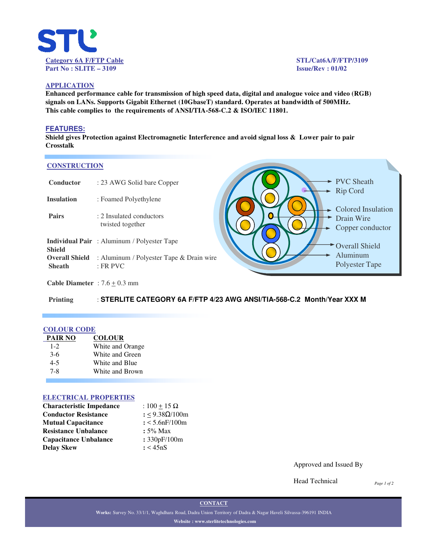

## **APPLICATION**

**Enhanced performance cable for transmission of high speed data, digital and analogue voice and video (RGB) signals on LANs. Supports Gigabit Ethernet (10GbaseT) standard. Operates at bandwidth of 500MHz. This cable complies to the requirements of ANSI/TIA-568-C.2 & ISO/IEC 11801.**

### **FEATURES:**

**Shield gives Protection against Electromagnetic Interference and avoid signal loss & Lower pair to pair Crosstalk**

#### **CONSTRUCTION**

| Conductor                              | : 23 AWG Solid bare Copper                               |  |  |  |
|----------------------------------------|----------------------------------------------------------|--|--|--|
| <b>Insulation</b>                      | : Foamed Polyethylene                                    |  |  |  |
| <b>Pairs</b>                           | : 2 Insulated conductors<br>twisted together             |  |  |  |
| Shield                                 | <b>Individual Pair</b> : Aluminum / Polyester Tape       |  |  |  |
| <b>Overall Shield</b><br><b>Sheath</b> | : Aluminum / Polyester Tape & Drain wire<br>$E$ : FR PVC |  |  |  |



**Cable Diameter** :  $7.6 \pm 0.3$  mm

**Printing** : **STERLITE CATEGORY 6A F/FTP 4/23 AWG ANSI/TIA-568-C.2 Month/Year XXX M**

### **COLOUR CODE**

| PAIR NO | <b>COLOUR</b>    |
|---------|------------------|
| $1 - 2$ | White and Orange |
| $3-6$   | White and Green  |
| $4 - 5$ | White and Blue   |
| 7-8     | White and Brown  |

#### **ELECTRICAL PROPERTIES**

| <b>Characteristic Impedance</b> | : $100 + 15 \Omega$ |  |  |
|---------------------------------|---------------------|--|--|
| <b>Conductor Resistance</b>     | : <9.38Ω/100m       |  |  |
| <b>Mutual Capacitance</b>       | $: < 5.6$ nF/100m   |  |  |
| <b>Resistance Unbalance</b>     | $: 5\%$ Max         |  |  |
| <b>Capacitance Unbalance</b>    | : 330pF/100m        |  |  |
| Delay Skew                      | : < 45nS            |  |  |

Approved and Issued By

Head Technical

*Page 1 of 2*

**CONTACT**

**Works:** Survey No. 33/1/1, Waghdhara Road, Dadra Union Territory of Dadra & Nagar Haveli Silvassa-396191 INDIA **Website : www.sterlitetechnologies.com**